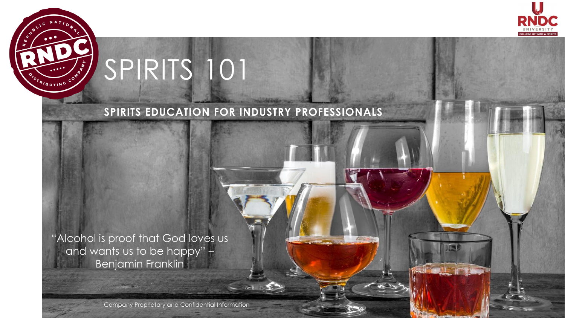

# SPIRITS 101

STRIBUTING COM

### **SPIRITS EDUCATION FOR INDUSTRY PROFESSIONALS**

"Alcohol is proof that God loves us and wants us to be happy" – Benjamin Franklin

Company Proprietary and Confidential Information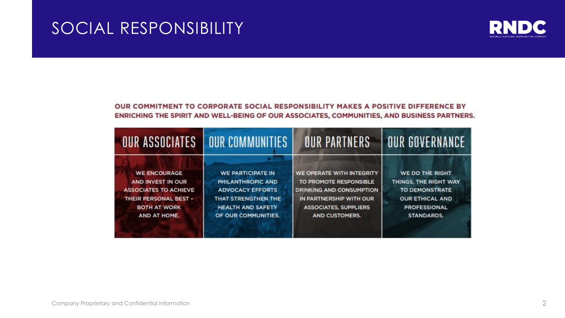### SOCIAL RESPONSIBILITY



#### OUR COMMITMENT TO CORPORATE SOCIAL RESPONSIBILITY MAKES A POSITIVE DIFFERENCE BY ENRICHING THE SPIRIT AND WELL-BEING OF OUR ASSOCIATES, COMMUNITIES, AND BUSINESS PARTNERS.

|                              | <b>OUR ASSOCIATES   OUR COMMUNITIES</b> | <b>OUR PARTNERS</b>          | <b>OUR GOVERNANCE</b>  |
|------------------------------|-----------------------------------------|------------------------------|------------------------|
| <b>WE ENCOURAGE</b>          | WE PARTICIPATE IN                       | WE OPERATE WITH INTEGRITY    | WE DO THE RIGHT        |
| AND INVEST IN OUR            | PHILANTHROPIC AND                       | TO PROMOTE RESPONSIBLE       | THINGS, THE RIGHT WAY  |
| <b>ASSOCIATES TO ACHIEVE</b> | <b>ADVOCACY EFFORTS</b>                 | DRINKING AND CONSUMPTION     | TO DEMONSTRATE         |
| THEIR PERSONAL BEST -        | THAT STRENGTHEN THE                     | IN PARTNERSHIP WITH OUR      | <b>OUR ETHICAL AND</b> |
| <b>BOTH AT WORK</b>          | <b>HEALTH AND SAFETY</b>                | <b>ASSOCIATES, SUPPLIERS</b> | PROFESSIONAL           |
| AND AT HOME.                 | OF OUR COMMUNITIES.                     | AND CUSTOMERS.               | STANDARDS.             |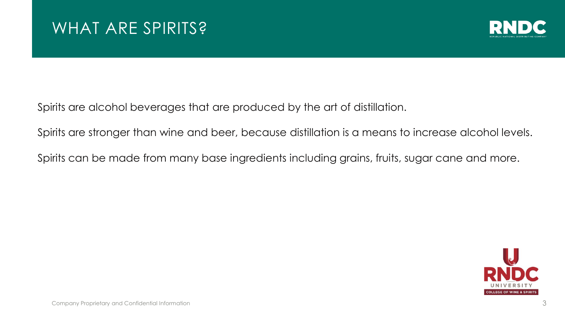

Spirits are alcohol beverages that are produced by the art of distillation.

Spirits are stronger than wine and beer, because distillation is a means to increase alcohol levels.

Spirits can be made from many base ingredients including grains, fruits, sugar cane and more.

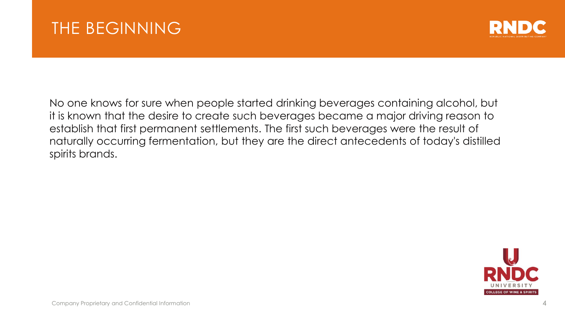

No one knows for sure when people started drinking beverages containing alcohol, but it is known that the desire to create such beverages became a major driving reason to establish that first permanent settlements. The first such beverages were the result of naturally occurring fermentation, but they are the direct antecedents of today's distilled spirits brands.

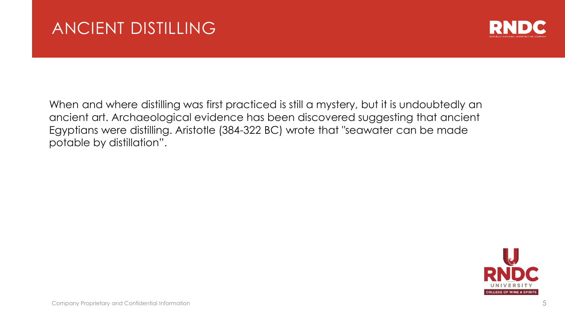

When and where distilling was first practiced is still a mystery, but it is undoubtedly an ancient art. Archaeological evidence has been discovered suggesting that ancient Egyptians were distilling. Aristotle (384-322 BC) wrote that "seawater can be made potable by distillation".

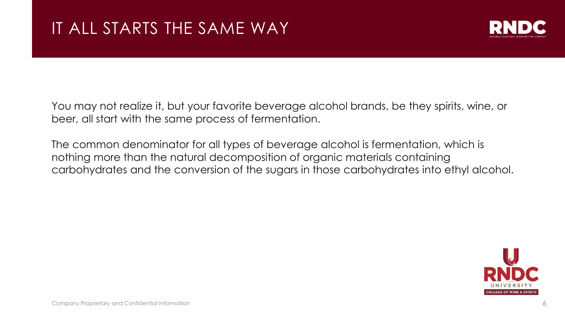

You may not realize it, but your favorite beverage alcohol brands, be they spirits, wine, or beer, all start with the same process of fermentation.

The common denominator for all types of beverage alcohol is fermentation, which is nothing more than the natural decomposition of organic materials containing carbohydrates and the conversion of the sugars in those carbohydrates into ethyl alcohol.

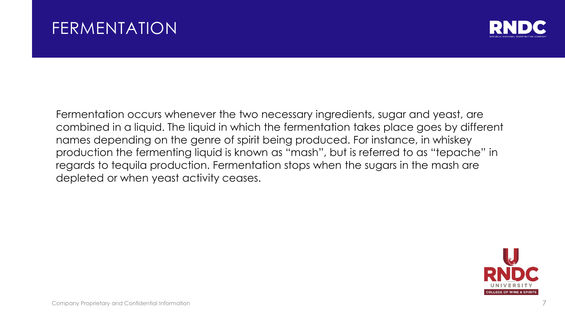### FERMENTATION



Fermentation occurs whenever the two necessary ingredients, sugar and yeast, are combined in a liquid. The liquid in which the fermentation takes place goes by different names depending on the genre of spirit being produced. For instance, in whiskey production the fermenting liquid is known as "mash", but is referred to as "tepache" in regards to tequila production. Fermentation stops when the sugars in the mash are depleted or when yeast activity ceases.

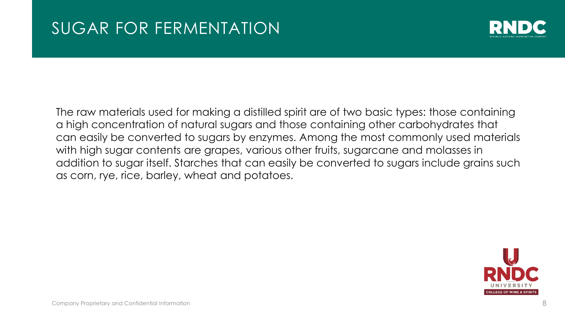

The raw materials used for making a distilled spirit are of two basic types: those containing a high concentration of natural sugars and those containing other carbohydrates that can easily be converted to sugars by enzymes. Among the most commonly used materials with high sugar contents are grapes, various other fruits, sugarcane and molasses in addition to sugar itself. Starches that can easily be converted to sugars include grains such as corn, rye, rice, barley, wheat and potatoes.

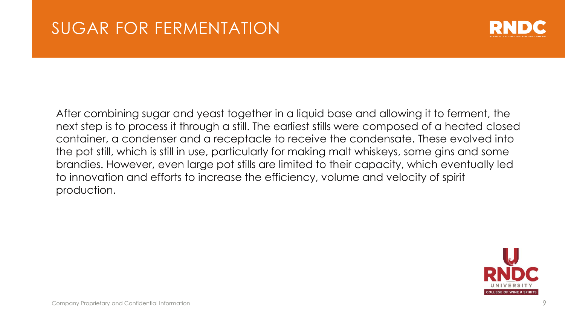

After combining sugar and yeast together in a liquid base and allowing it to ferment, the next step is to process it through a still. The earliest stills were composed of a heated closed container, a condenser and a receptacle to receive the condensate. These evolved into the pot still, which is still in use, particularly for making malt whiskeys, some gins and some brandies. However, even large pot stills are limited to their capacity, which eventually led to innovation and efforts to increase the efficiency, volume and velocity of spirit production.

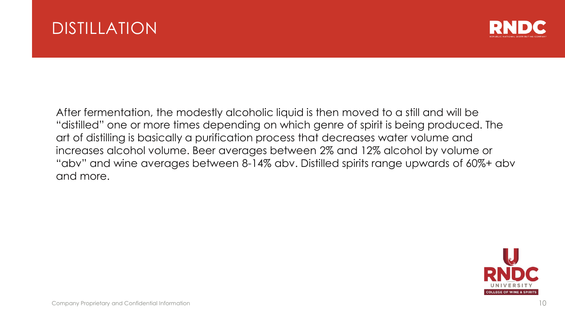



After fermentation, the modestly alcoholic liquid is then moved to a still and will be "distilled" one or more times depending on which genre of spirit is being produced. The art of distilling is basically a purification process that decreases water volume and increases alcohol volume. Beer averages between 2% and 12% alcohol by volume or "abv" and wine averages between 8-14% abv. Distilled spirits range upwards of 60%+ abv and more.

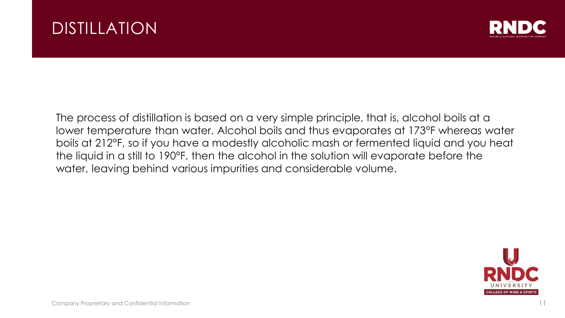



The process of distillation is based on a very simple principle, that is, alcohol boils at a lower temperature than water. Alcohol boils and thus evaporates at 173°F whereas water boils at 212°F, so if you have a modestly alcoholic mash or fermented liquid and you heat the liquid in a still to 190°F, then the alcohol in the solution will evaporate before the water, leaving behind various impurities and considerable volume.

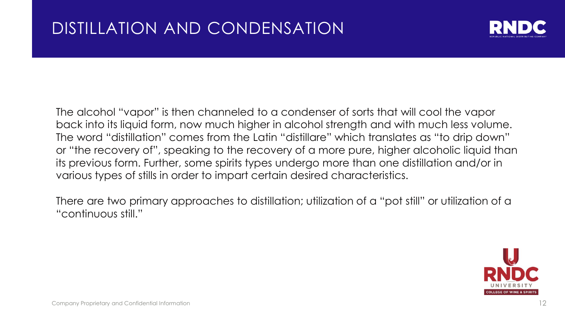

The alcohol "vapor" is then channeled to a condenser of sorts that will cool the vapor back into its liquid form, now much higher in alcohol strength and with much less volume. The word "distillation" comes from the Latin "distillare" which translates as "to drip down" or "the recovery of", speaking to the recovery of a more pure, higher alcoholic liquid than its previous form. Further, some spirits types undergo more than one distillation and/or in various types of stills in order to impart certain desired characteristics.

There are two primary approaches to distillation; utilization of a "pot still" or utilization of a "continuous still."

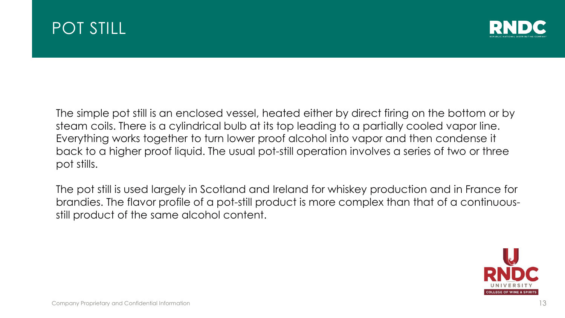



The simple pot still is an enclosed vessel, heated either by direct firing on the bottom or by steam coils. There is a cylindrical bulb at its top leading to a partially cooled vapor line. Everything works together to turn lower proof alcohol into vapor and then condense it back to a higher proof liquid. The usual pot-still operation involves a series of two or three pot stills.

The pot still is used largely in Scotland and Ireland for whiskey production and in France for brandies. The flavor profile of a pot-still product is more complex than that of a continuousstill product of the same alcohol content.

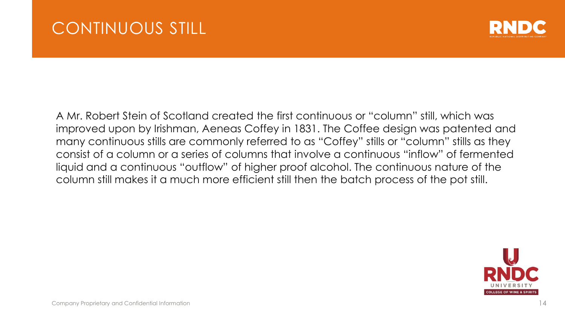

A Mr. Robert Stein of Scotland created the first continuous or "column" still, which was improved upon by Irishman, Aeneas Coffey in 1831. The Coffee design was patented and many continuous stills are commonly referred to as "Coffey" stills or "column" stills as they consist of a column or a series of columns that involve a continuous "inflow" of fermented liquid and a continuous "outflow" of higher proof alcohol. The continuous nature of the column still makes it a much more efficient still then the batch process of the pot still.

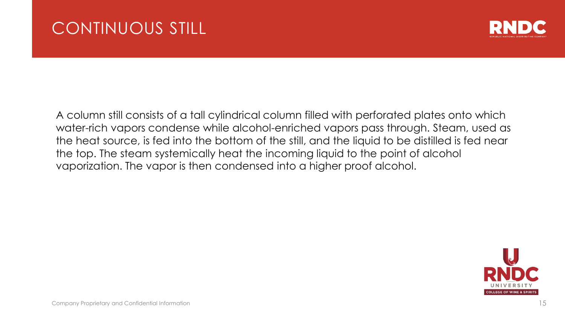### CONTINUOUS STILL



A column still consists of a tall cylindrical column filled with perforated plates onto which water-rich vapors condense while alcohol-enriched vapors pass through. Steam, used as the heat source, is fed into the bottom of the still, and the liquid to be distilled is fed near the top. The steam systemically heat the incoming liquid to the point of alcohol vaporization. The vapor is then condensed into a higher proof alcohol.

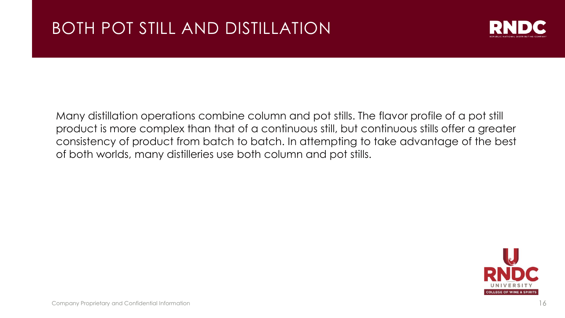

Many distillation operations combine column and pot stills. The flavor profile of a pot still product is more complex than that of a continuous still, but continuous stills offer a greater consistency of product from batch to batch. In attempting to take advantage of the best of both worlds, many distilleries use both column and pot stills.

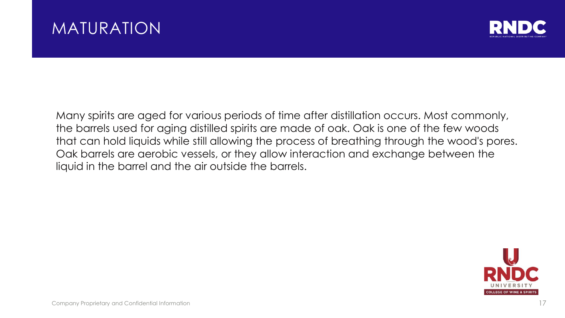### MATURATION



Many spirits are aged for various periods of time after distillation occurs. Most commonly, the barrels used for aging distilled spirits are made of oak. Oak is one of the few woods that can hold liquids while still allowing the process of breathing through the wood's pores. Oak barrels are aerobic vessels, or they allow interaction and exchange between the liquid in the barrel and the air outside the barrels.

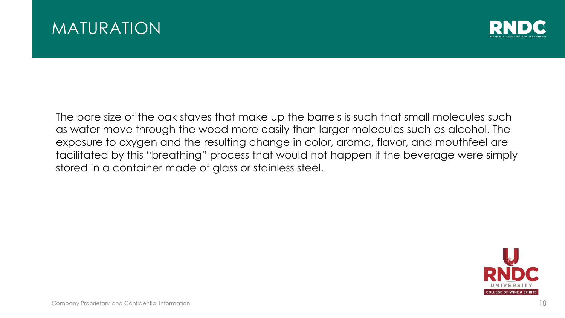



The pore size of the oak staves that make up the barrels is such that small molecules such as water move through the wood more easily than larger molecules such as alcohol. The exposure to oxygen and the resulting change in color, aroma, flavor, and mouthfeel are facilitated by this "breathing" process that would not happen if the beverage were simply stored in a container made of glass or stainless steel.

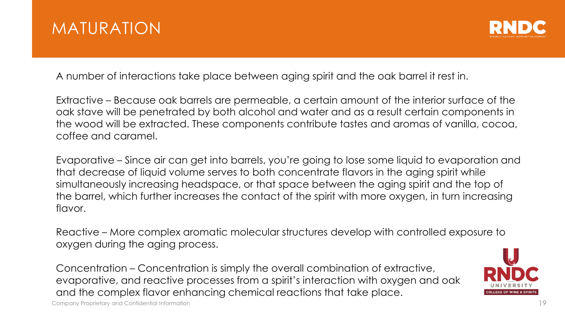



A number of interactions take place between aging spirit and the oak barrel it rest in.

Extractive – Because oak barrels are permeable, a certain amount of the interior surface of the oak stave will be penetrated by both alcohol and water and as a result certain components in the wood will be extracted. These components contribute tastes and aromas of vanilla, cocoa, coffee and caramel.

Evaporative – Since air can get into barrels, you're going to lose some liquid to evaporation and that decrease of liquid volume serves to both concentrate flavors in the aging spirit while simultaneously increasing headspace, or that space between the aging spirit and the top of the barrel, which further increases the contact of the spirit with more oxygen, in turn increasing flavor.

Reactive – More complex aromatic molecular structures develop with controlled exposure to oxygen during the aging process.

Concentration – Concentration is simply the overall combination of extractive, evaporative, and reactive processes from a spirit's interaction with oxygen and oak and the complex flavor enhancing chemical reactions that take place.

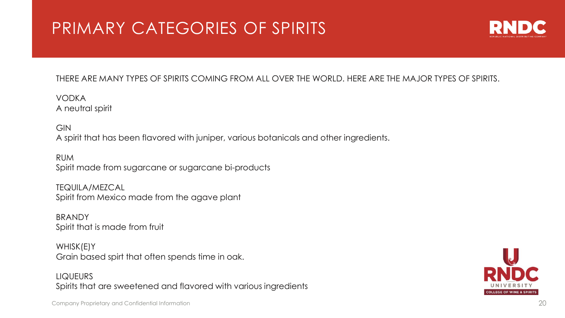## PRIMARY CATEGORIES OF SPIRITS



#### THERE ARE MANY TYPES OF SPIRITS COMING FROM ALL OVER THE WORLD. HERE ARE THE MAJOR TYPES OF SPIRITS.

VODKA A neutral spirit

GIN A spirit that has been flavored with juniper, various botanicals and other ingredients.

RUM Spirit made from sugarcane or sugarcane bi-products

TEQUILA/MEZCAL Spirit from Mexico made from the agave plant

**BRANDY** Spirit that is made from fruit

WHISK(E)Y Grain based spirt that often spends time in oak.

**LIQUEURS** Spirits that are sweetened and flavored with various ingredients



Company Proprietary and Confidential Information 20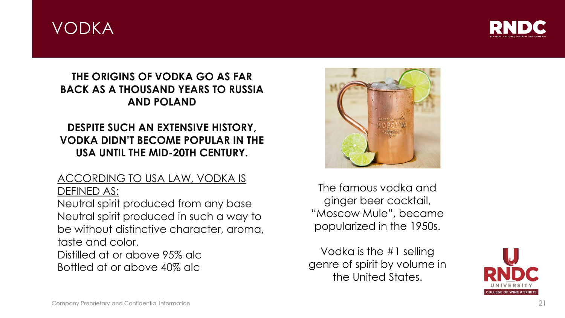### VODKA



#### **THE ORIGINS OF VODKA GO AS FAR BACK AS A THOUSAND YEARS TO RUSSIA AND POLAND**

### **DESPITE SUCH AN EXTENSIVE HISTORY, VODKA DIDN'T BECOME POPULAR IN THE USA UNTIL THE MID-20TH CENTURY.**

#### ACCORDING TO USA LAW, VODKA IS DEFINED AS:

Neutral spirit produced from any base Neutral spirit produced in such a way to be without distinctive character, aroma, taste and color.

Distilled at or above 95% alc Bottled at or above 40% alc



The famous vodka and ginger beer cocktail, "Moscow Mule", became popularized in the 1950s.

Vodka is the #1 selling genre of spirit by volume in the United States.

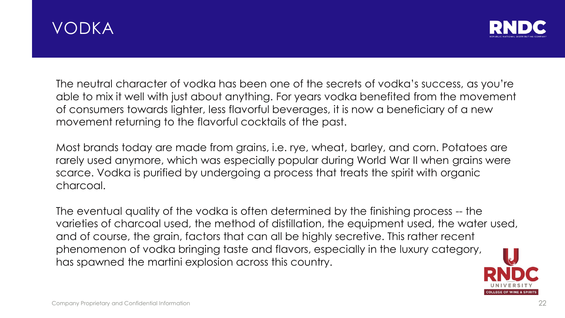



The neutral character of vodka has been one of the secrets of vodka's success, as you're able to mix it well with just about anything. For years vodka benefited from the movement of consumers towards lighter, less flavorful beverages, it is now a beneficiary of a new movement returning to the flavorful cocktails of the past.

Most brands today are made from grains, i.e. rye, wheat, barley, and corn. Potatoes are rarely used anymore, which was especially popular during World War II when grains were scarce. Vodka is purified by undergoing a process that treats the spirit with organic charcoal.

The eventual quality of the vodka is often determined by the finishing process -- the varieties of charcoal used, the method of distillation, the equipment used, the water used, and of course, the grain, factors that can all be highly secretive. This rather recent phenomenon of vodka bringing taste and flavors, especially in the luxury category, has spawned the martini explosion across this country.

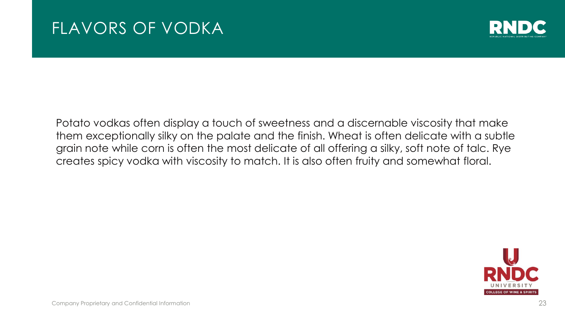### FLAVORS OF VODKA



Potato vodkas often display a touch of sweetness and a discernable viscosity that make them exceptionally silky on the palate and the finish. Wheat is often delicate with a subtle grain note while corn is often the most delicate of all offering a silky, soft note of talc. Rye creates spicy vodka with viscosity to match. It is also often fruity and somewhat floral.

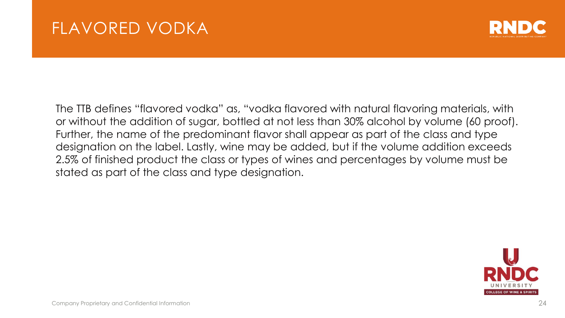

The TTB defines "flavored vodka" as, "vodka flavored with natural flavoring materials, with or without the addition of sugar, bottled at not less than 30% alcohol by volume (60 proof). Further, the name of the predominant flavor shall appear as part of the class and type designation on the label. Lastly, wine may be added, but if the volume addition exceeds 2.5% of finished product the class or types of wines and percentages by volume must be stated as part of the class and type designation.

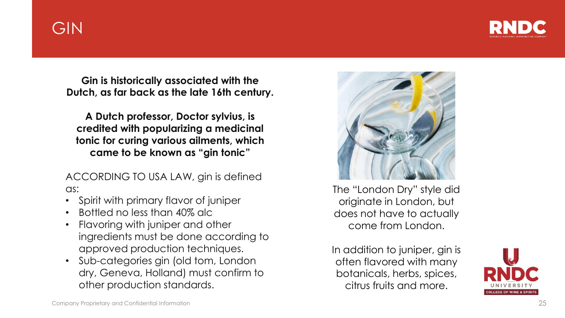### GIN

**Gin is historically associated with the Dutch, as far back as the late 16th century.**

**A Dutch professor, Doctor sylvius, is credited with popularizing a medicinal tonic for curing various ailments, which came to be known as "gin tonic"**

ACCORDING TO USA LAW, gin is defined as:

- Spirit with primary flavor of juniper
- Bottled no less than 40% alc
- Flavoring with juniper and other ingredients must be done according to approved production techniques.
- Sub-categories gin (old tom, London dry, Geneva, Holland) must confirm to other production standards.



The "London Dry" style did originate in London, but does not have to actually come from London.

In addition to juniper, gin is often flavored with many botanicals, herbs, spices, citrus fruits and more.

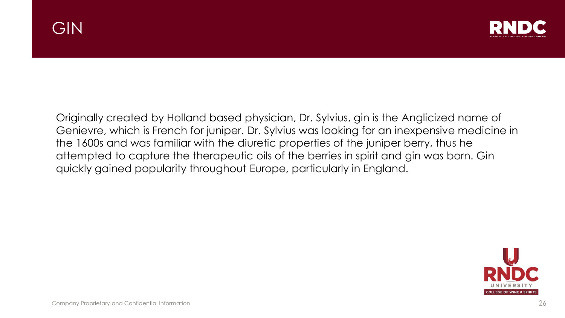

Originally created by Holland based physician, Dr. Sylvius, gin is the Anglicized name of Genievre, which is French for juniper. Dr. Sylvius was looking for an inexpensive medicine in the 1600s and was familiar with the diuretic properties of the juniper berry, thus he attempted to capture the therapeutic oils of the berries in spirit and gin was born. Gin quickly gained popularity throughout Europe, particularly in England.

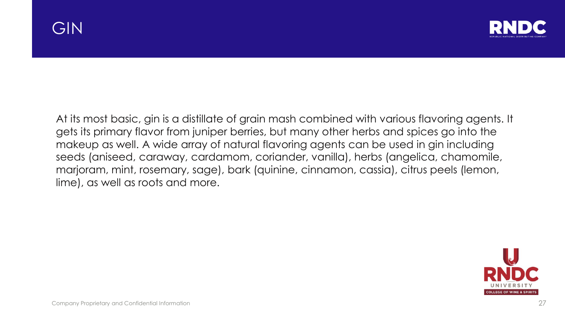



At its most basic, gin is a distillate of grain mash combined with various flavoring agents. It gets its primary flavor from juniper berries, but many other herbs and spices go into the makeup as well. A wide array of natural flavoring agents can be used in gin including seeds (aniseed, caraway, cardamom, coriander, vanilla), herbs (angelica, chamomile, marjoram, mint, rosemary, sage), bark (quinine, cinnamon, cassia), citrus peels (lemon, lime), as well as roots and more.

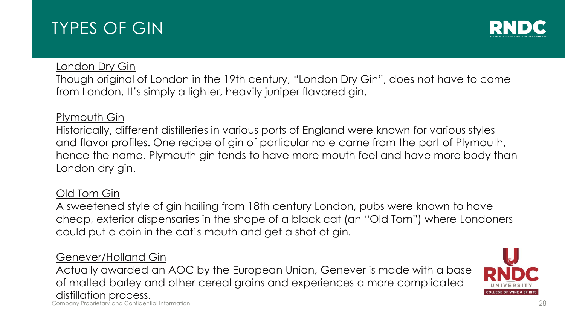### TYPES OF GIN



#### **London Dry Gin**

Though original of London in the 19th century, "London Dry Gin", does not have to come from London. It's simply a lighter, heavily juniper flavored gin.

#### Plymouth Gin

Historically, different distilleries in various ports of England were known for various styles and flavor profiles. One recipe of gin of particular note came from the port of Plymouth, hence the name. Plymouth gin tends to have more mouth feel and have more body than London dry gin.

#### Old Tom Gin

A sweetened style of gin hailing from 18th century London, pubs were known to have cheap, exterior dispensaries in the shape of a black cat (an "Old Tom") where Londoners could put a coin in the cat's mouth and get a shot of gin.

#### Genever/Holland Gin

Company Proprietary and Confidential Information Actually awarded an AOC by the European Union, Genever is made with a base of malted barley and other cereal grains and experiences a more complicated distillation process.

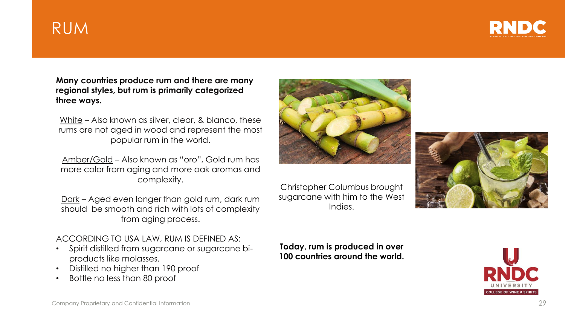### RUM



**Many countries produce rum and there are many regional styles, but rum is primarily categorized three ways.**

White – Also known as silver, clear, & blanco, these rums are not aged in wood and represent the most popular rum in the world.

Amber/Gold – Also known as "oro", Gold rum has more color from aging and more oak aromas and complexity.

Dark – Aged even longer than gold rum, dark rum should be smooth and rich with lots of complexity from aging process.

#### ACCORDING TO USA LAW, RUM IS DEFINED AS:

- Spirit distilled from sugarcane or sugarcane biproducts like molasses.
- Distilled no higher than 190 proof
- Bottle no less than 80 proof



Christopher Columbus brought sugarcane with him to the West Indies.



**Today, rum is produced in over 100 countries around the world.**

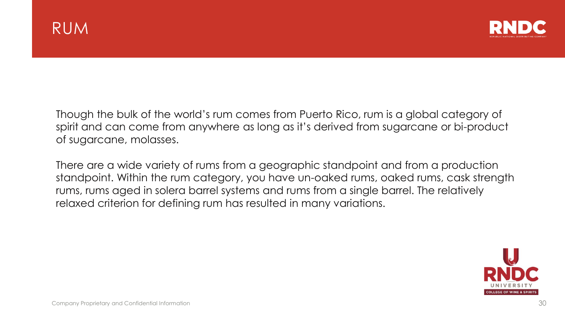

Though the bulk of the world's rum comes from Puerto Rico, rum is a global category of spirit and can come from anywhere as long as it's derived from sugarcane or bi-product of sugarcane, molasses.

There are a wide variety of rums from a geographic standpoint and from a production standpoint. Within the rum category, you have un-oaked rums, oaked rums, cask strength rums, rums aged in solera barrel systems and rums from a single barrel. The relatively relaxed criterion for defining rum has resulted in many variations.

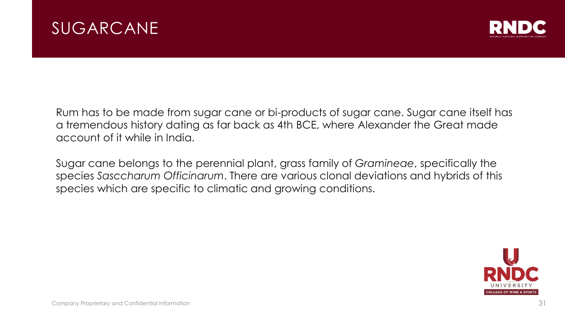



Rum has to be made from sugar cane or bi-products of sugar cane. Sugar cane itself has a tremendous history dating as far back as 4th BCE, where Alexander the Great made account of it while in India.

Sugar cane belongs to the perennial plant, grass family of *Gramineae*, specifically the species *Sasccharum Officinarum*. There are various clonal deviations and hybrids of this species which are specific to climatic and growing conditions.

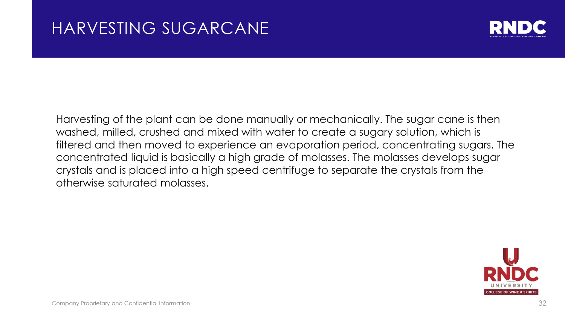

Harvesting of the plant can be done manually or mechanically. The sugar cane is then washed, milled, crushed and mixed with water to create a sugary solution, which is filtered and then moved to experience an evaporation period, concentrating sugars. The concentrated liquid is basically a high grade of molasses. The molasses develops sugar crystals and is placed into a high speed centrifuge to separate the crystals from the otherwise saturated molasses.

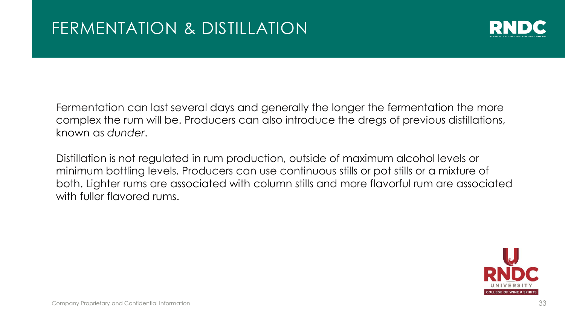

Fermentation can last several days and generally the longer the fermentation the more complex the rum will be. Producers can also introduce the dregs of previous distillations, known as *dunder*.

Distillation is not regulated in rum production, outside of maximum alcohol levels or minimum bottling levels. Producers can use continuous stills or pot stills or a mixture of both. Lighter rums are associated with column stills and more flavorful rum are associated with fuller flavored rums.

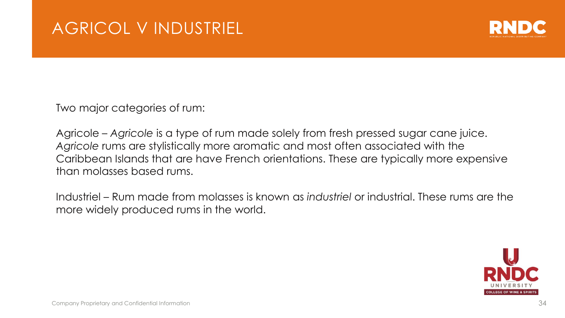

Two major categories of rum:

Agricole – *Agricole* is a type of rum made solely from fresh pressed sugar cane juice. *Agricole* rums are stylistically more aromatic and most often associated with the Caribbean Islands that are have French orientations. These are typically more expensive than molasses based rums.

Industriel – Rum made from molasses is known as *industriel* or industrial. These rums are the more widely produced rums in the world.

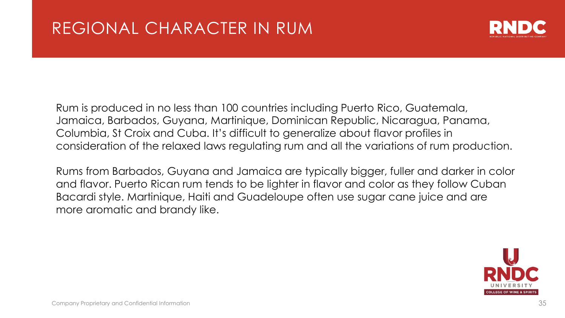

Rum is produced in no less than 100 countries including Puerto Rico, Guatemala, Jamaica, Barbados, Guyana, Martinique, Dominican Republic, Nicaragua, Panama, Columbia, St Croix and Cuba. It's difficult to generalize about flavor profiles in consideration of the relaxed laws regulating rum and all the variations of rum production.

Rums from Barbados, Guyana and Jamaica are typically bigger, fuller and darker in color and flavor. Puerto Rican rum tends to be lighter in flavor and color as they follow Cuban Bacardi style. Martinique, Haiti and Guadeloupe often use sugar cane juice and are more aromatic and brandy like.

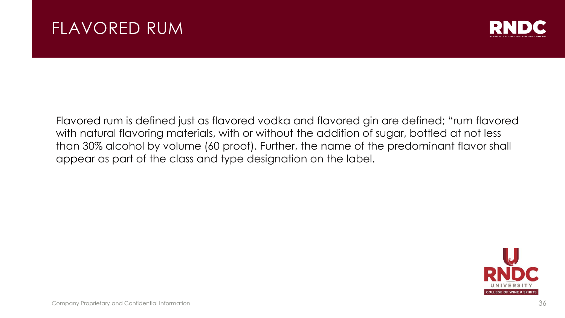### FLAVORED RUM



Flavored rum is defined just as flavored vodka and flavored gin are defined; "rum flavored with natural flavoring materials, with or without the addition of sugar, bottled at not less than 30% alcohol by volume (60 proof). Further, the name of the predominant flavor shall appear as part of the class and type designation on the label.

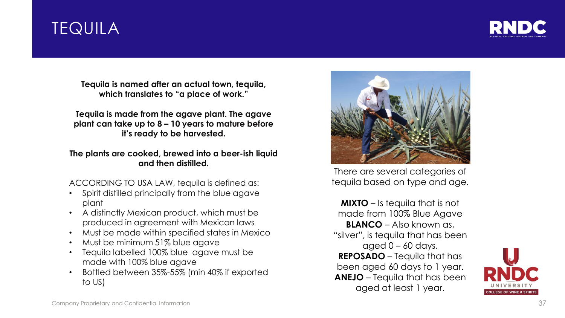### **TEQUILA**



**Tequila is named after an actual town, tequila, which translates to "a place of work."**

**Tequila is made from the agave plant. The agave plant can take up to 8 – 10 years to mature before it's ready to be harvested.** 

#### **The plants are cooked, brewed into a beer-ish liquid and then distilled.**

#### ACCORDING TO USA LAW, tequila is defined as:

- Spirit distilled principally from the blue agave plant
- A distinctly Mexican product, which must be produced in agreement with Mexican laws
- Must be made within specified states in Mexico
- Must be minimum 51% blue agave
- Tequila labelled 100% blue agave must be made with 100% blue agave
- Bottled between 35%-55% (min 40% if exported to US)



There are several categories of tequila based on type and age.

**MIXTO** – Is tequila that is not made from 100% Blue Agave **BLANCO** – Also known as, "silver", is tequila that has been aged  $0 - 60$  days. **REPOSADO** – Tequila that has been aged 60 days to 1 year. **ANEJO** – Tequila that has been aged at least 1 year.

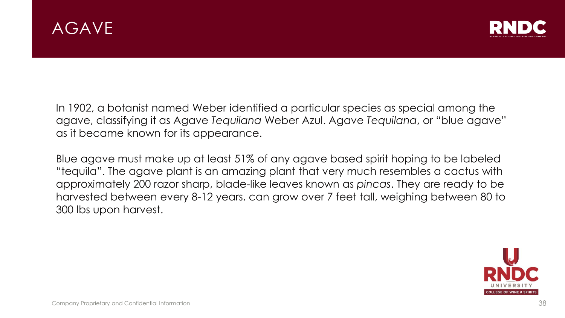



In 1902, a botanist named Weber identified a particular species as special among the agave, classifying it as Agave *Tequilana* Weber Azul. Agave *Tequilana*, or "blue agave" as it became known for its appearance.

Blue agave must make up at least 51% of any agave based spirit hoping to be labeled "tequila". The agave plant is an amazing plant that very much resembles a cactus with approximately 200 razor sharp, blade-like leaves known as *pincas*. They are ready to be harvested between every 8-12 years, can grow over 7 feet tall, weighing between 80 to 300 lbs upon harvest.

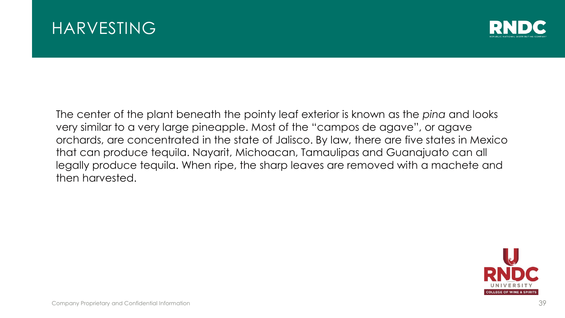



The center of the plant beneath the pointy leaf exterior is known as the *pina* and looks very similar to a very large pineapple. Most of the "campos de agave", or agave orchards, are concentrated in the state of Jalisco. By law, there are five states in Mexico that can produce tequila. Nayarit, Michoacan, Tamaulipas and Guanajuato can all legally produce tequila. When ripe, the sharp leaves are removed with a machete and then harvested.

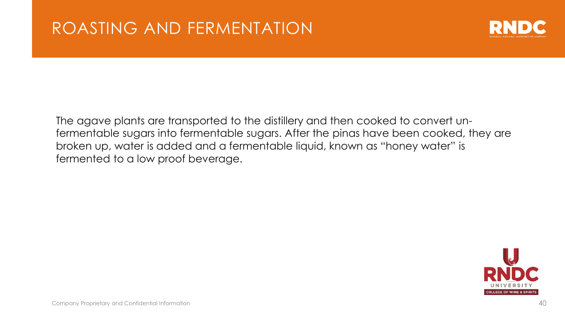

The agave plants are transported to the distillery and then cooked to convert unfermentable sugars into fermentable sugars. After the pinas have been cooked, they are broken up, water is added and a fermentable liquid, known as "honey water" is fermented to a low proof beverage.

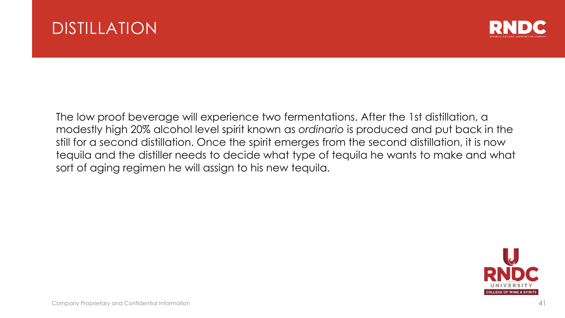



The low proof beverage will experience two fermentations. After the 1st distillation, a modestly high 20% alcohol level spirit known as *ordinario* is produced and put back in the still for a second distillation. Once the spirit emerges from the second distillation, it is now tequila and the distiller needs to decide what type of tequila he wants to make and what sort of aging regimen he will assign to his new tequila.

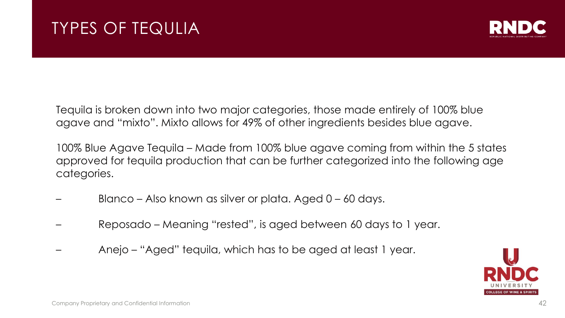

Tequila is broken down into two major categories, those made entirely of 100% blue agave and "mixto". Mixto allows for 49% of other ingredients besides blue agave.

100% Blue Agave Tequila – Made from 100% blue agave coming from within the 5 states approved for tequila production that can be further categorized into the following age categories.

- Blanco Also known as silver or plata. Aged 0 60 days.
- Reposado Meaning "rested", is aged between 60 days to 1 year.
- Anejo "Aged" tequila, which has to be aged at least 1 year.

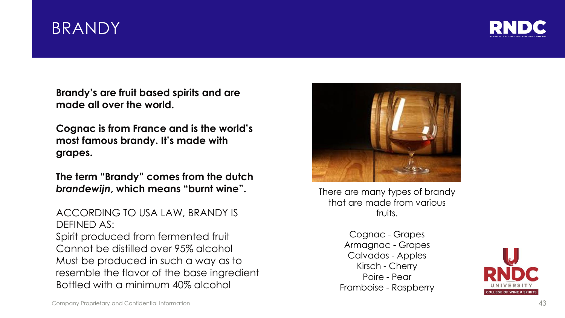### BRANDY



**Brandy's are fruit based spirits and are made all over the world.** 

**Cognac is from France and is the world's most famous brandy. It's made with grapes.**

**The term "Brandy" comes from the dutch** *brandewijn***, which means "burnt wine".**

ACCORDING TO USA LAW, BRANDY IS DEFINED AS: Spirit produced from fermented fruit Cannot be distilled over 95% alcohol Must be produced in such a way as to resemble the flavor of the base ingredient Bottled with a minimum 40% alcohol



There are many types of brandy that are made from various fruits.

Cognac - Grapes Armagnac - Grapes Calvados - Apples Kirsch - Cherry Poire - Pear Framboise - Raspberry

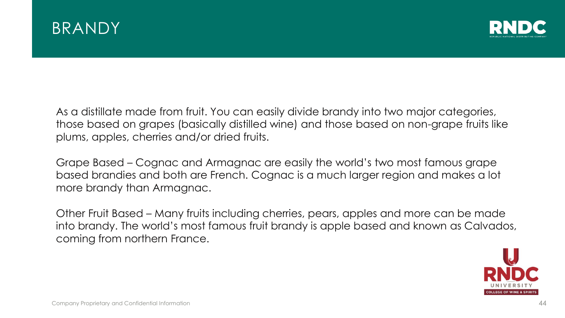



As a distillate made from fruit. You can easily divide brandy into two major categories, those based on grapes (basically distilled wine) and those based on non-grape fruits like plums, apples, cherries and/or dried fruits.

Grape Based – Cognac and Armagnac are easily the world's two most famous grape based brandies and both are French. Cognac is a much larger region and makes a lot more brandy than Armagnac.

Other Fruit Based – Many fruits including cherries, pears, apples and more can be made into brandy. The world's most famous fruit brandy is apple based and known as Calvados, coming from northern France.

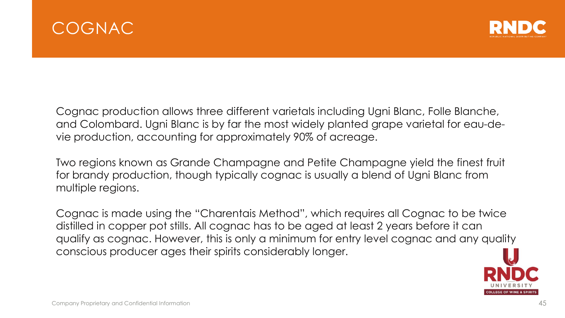



Cognac production allows three different varietals including Ugni Blanc, Folle Blanche, and Colombard. Ugni Blanc is by far the most widely planted grape varietal for eau-devie production, accounting for approximately 90% of acreage.

Two regions known as Grande Champagne and Petite Champagne yield the finest fruit for brandy production, though typically cognac is usually a blend of Ugni Blanc from multiple regions.

Cognac is made using the "Charentais Method", which requires all Cognac to be twice distilled in copper pot stills. All cognac has to be aged at least 2 years before it can qualify as cognac. However, this is only a minimum for entry level cognac and any quality conscious producer ages their spirits considerably longer.

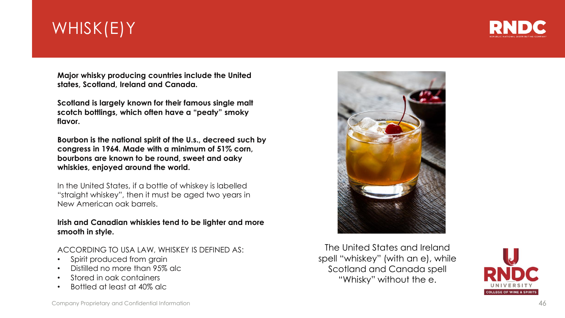## WHISK(E)Y



**Major whisky producing countries include the United states, Scotland, Ireland and Canada.**

**Scotland is largely known for their famous single malt scotch bottlings, which often have a "peaty" smoky flavor.**

**Bourbon is the national spirit of the U.s., decreed such by congress in 1964. Made with a minimum of 51% corn, bourbons are known to be round, sweet and oaky whiskies, enjoyed around the world.**

In the United States, if a bottle of whiskey is labelled "straight whiskey", then it must be aged two years in New American oak barrels.

#### **Irish and Canadian whiskies tend to be lighter and more smooth in style.**

ACCORDING TO USA LAW, WHISKEY IS DEFINED AS:

- Spirit produced from grain
- Distilled no more than 95% alc
- Stored in oak containers
- Bottled at least at 40% alc



The United States and Ireland spell "whiskey" (with an e), while Scotland and Canada spell "Whisky" without the e.

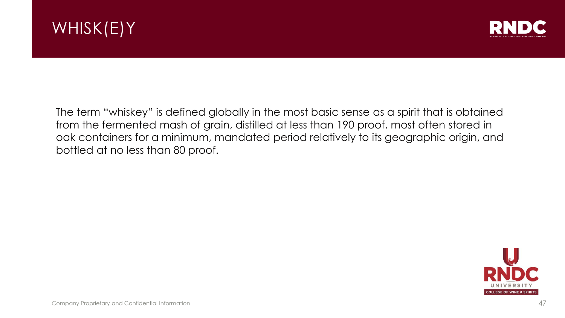



The term "whiskey" is defined globally in the most basic sense as a spirit that is obtained from the fermented mash of grain, distilled at less than 190 proof, most often stored in oak containers for a minimum, mandated period relatively to its geographic origin, and bottled at no less than 80 proof.

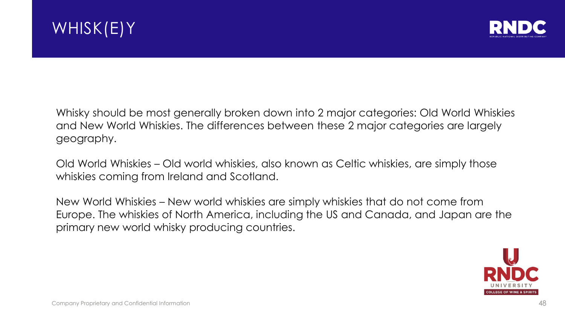



Whisky should be most generally broken down into 2 major categories: Old World Whiskies and New World Whiskies. The differences between these 2 major categories are largely geography.

Old World Whiskies – Old world whiskies, also known as Celtic whiskies, are simply those whiskies coming from Ireland and Scotland.

New World Whiskies – New world whiskies are simply whiskies that do not come from Europe. The whiskies of North America, including the US and Canada, and Japan are the primary new world whisky producing countries.

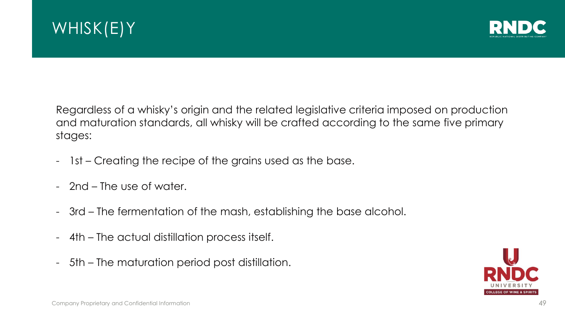



Regardless of a whisky's origin and the related legislative criteria imposed on production and maturation standards, all whisky will be crafted according to the same five primary stages:

- 1st Creating the recipe of the grains used as the base.
- 2nd The use of water.
- 3rd The fermentation of the mash, establishing the base alcohol.
- 4th The actual distillation process itself.
- 5th The maturation period post distillation.

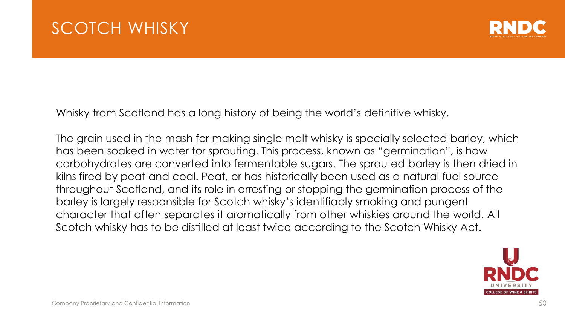

Whisky from Scotland has a long history of being the world's definitive whisky.

The grain used in the mash for making single malt whisky is specially selected barley, which has been soaked in water for sprouting. This process, known as "germination", is how carbohydrates are converted into fermentable sugars. The sprouted barley is then dried in kilns fired by peat and coal. Peat, or has historically been used as a natural fuel source throughout Scotland, and its role in arresting or stopping the germination process of the barley is largely responsible for Scotch whisky's identifiably smoking and pungent character that often separates it aromatically from other whiskies around the world. All Scotch whisky has to be distilled at least twice according to the Scotch Whisky Act.

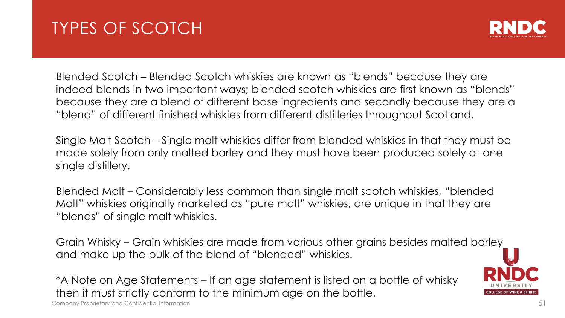### TYPES OF SCOTCH



Blended Scotch – Blended Scotch whiskies are known as "blends" because they are indeed blends in two important ways; blended scotch whiskies are first known as "blends" because they are a blend of different base ingredients and secondly because they are a "blend" of different finished whiskies from different distilleries throughout Scotland.

Single Malt Scotch – Single malt whiskies differ from blended whiskies in that they must be made solely from only malted barley and they must have been produced solely at one single distillery.

Blended Malt – Considerably less common than single malt scotch whiskies, "blended Malt" whiskies originally marketed as "pure malt" whiskies, are unique in that they are "blends" of single malt whiskies.

Grain Whisky – Grain whiskies are made from various other grains besides malted barley and make up the bulk of the blend of "blended" whiskies.

\*A Note on Age Statements – If an age statement is listed on a bottle of whisky then it must strictly conform to the minimum age on the bottle.

Company Proprietary and Confidential Information 51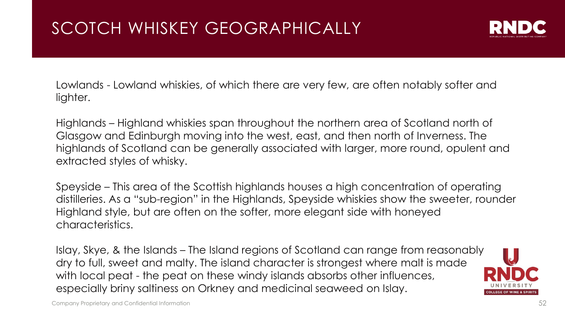

Lowlands - Lowland whiskies, of which there are very few, are often notably softer and lighter.

Highlands – Highland whiskies span throughout the northern area of Scotland north of Glasgow and Edinburgh moving into the west, east, and then north of Inverness. The highlands of Scotland can be generally associated with larger, more round, opulent and extracted styles of whisky.

Speyside – This area of the Scottish highlands houses a high concentration of operating distilleries. As a "sub-region" in the Highlands, Speyside whiskies show the sweeter, rounder Highland style, but are often on the softer, more elegant side with honeyed characteristics.

Islay, Skye, & the Islands – The Island regions of Scotland can range from reasonably dry to full, sweet and malty. The island character is strongest where malt is made with local peat - the peat on these windy islands absorbs other influences, especially briny saltiness on Orkney and medicinal seaweed on Islay.

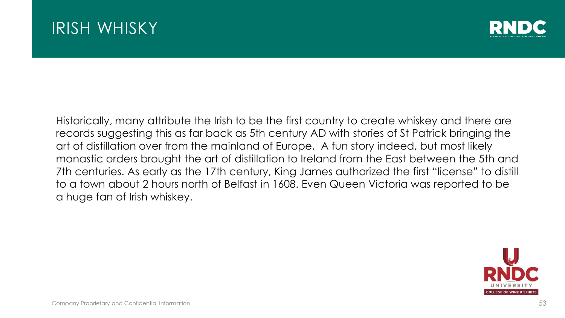### IRISH WHISKY



Historically, many attribute the Irish to be the first country to create whiskey and there are records suggesting this as far back as 5th century AD with stories of St Patrick bringing the art of distillation over from the mainland of Europe. A fun story indeed, but most likely monastic orders brought the art of distillation to Ireland from the East between the 5th and 7th centuries. As early as the 17th century, King James authorized the first "license" to distill to a town about 2 hours north of Belfast in 1608. Even Queen Victoria was reported to be a huge fan of Irish whiskey.

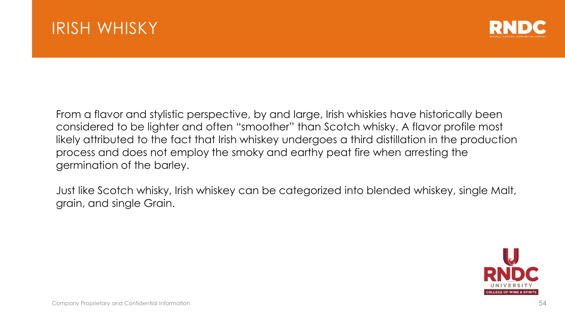

From a flavor and stylistic perspective, by and large, Irish whiskies have historically been considered to be lighter and often "smoother" than Scotch whisky. A flavor profile most likely attributed to the fact that Irish whiskey undergoes a third distillation in the production process and does not employ the smoky and earthy peat fire when arresting the germination of the barley.

Just like Scotch whisky, Irish whiskey can be categorized into blended whiskey, single Malt, grain, and single Grain.

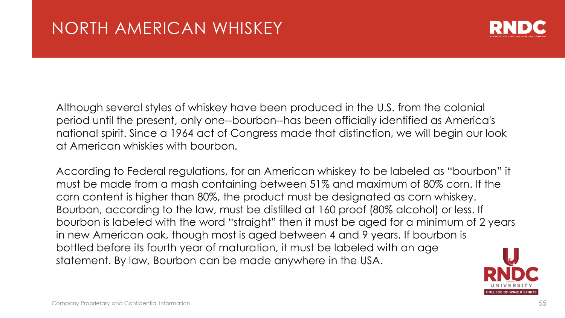

Although several styles of whiskey have been produced in the U.S. from the colonial period until the present, only one--bourbon--has been officially identified as America's national spirit. Since a 1964 act of Congress made that distinction, we will begin our look at American whiskies with bourbon.

According to Federal regulations, for an American whiskey to be labeled as "bourbon" it must be made from a mash containing between 51% and maximum of 80% corn. If the corn content is higher than 80%, the product must be designated as corn whiskey. Bourbon, according to the law, must be distilled at 160 proof (80% alcohol) or less. If bourbon is labeled with the word "straight" then it must be aged for a minimum of 2 years in new American oak, though most is aged between 4 and 9 years. If bourbon is bottled before its fourth year of maturation, it must be labeled with an age statement. By law, Bourbon can be made anywhere in the USA.

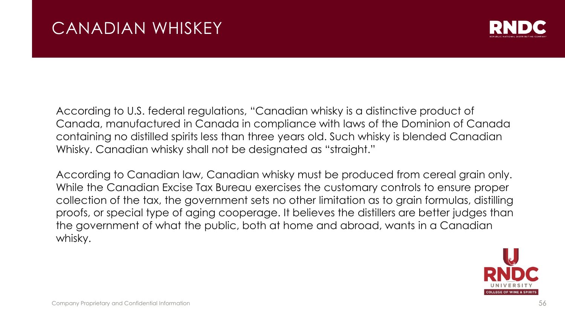

According to U.S. federal regulations, "Canadian whisky is a distinctive product of Canada, manufactured in Canada in compliance with laws of the Dominion of Canada containing no distilled spirits less than three years old. Such whisky is blended Canadian Whisky. Canadian whisky shall not be designated as "straight."

According to Canadian law, Canadian whisky must be produced from cereal grain only. While the Canadian Excise Tax Bureau exercises the customary controls to ensure proper collection of the tax, the government sets no other limitation as to grain formulas, distilling proofs, or special type of aging cooperage. It believes the distillers are better judges than the government of what the public, both at home and abroad, wants in a Canadian whisky.